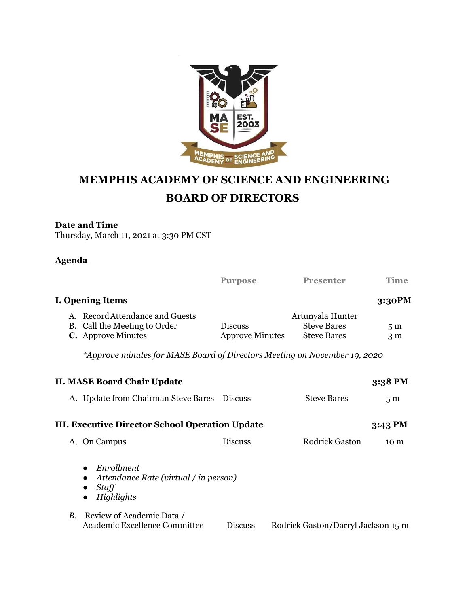

## **MEMPHIS ACADEMY OF SCIENCE AND ENGINEERING BOARD OF DIRECTORS**

## **Date and Time**

Thursday, March 11, 2021 at 3:30 PM CST

## **Agenda**

|                                                 |                                                                                              | <b>Purpose</b>                           | <b>Presenter</b>                                             | <b>Time</b>                      |  |  |  |
|-------------------------------------------------|----------------------------------------------------------------------------------------------|------------------------------------------|--------------------------------------------------------------|----------------------------------|--|--|--|
|                                                 | <b>I. Opening Items</b>                                                                      |                                          |                                                              | 3:30PM                           |  |  |  |
|                                                 | A. Record Attendance and Guests<br>B. Call the Meeting to Order<br><b>C.</b> Approve Minutes | <b>Discuss</b><br><b>Approve Minutes</b> | Artunyala Hunter<br><b>Steve Bares</b><br><b>Steve Bares</b> | 5 <sub>m</sub><br>3 <sub>m</sub> |  |  |  |
|                                                 | *Approve minutes for MASE Board of Directors Meeting on November 19, 2020                    |                                          |                                                              |                                  |  |  |  |
|                                                 | <b>II. MASE Board Chair Update</b>                                                           |                                          |                                                              | 3:38 PM                          |  |  |  |
|                                                 | A. Update from Chairman Steve Bares Discuss                                                  |                                          | <b>Steve Bares</b>                                           | 5 <sub>m</sub>                   |  |  |  |
| III. Executive Director School Operation Update |                                                                                              | $3:43 \text{ PM}$                        |                                                              |                                  |  |  |  |
|                                                 | A. On Campus                                                                                 | <b>Discuss</b>                           | <b>Rodrick Gaston</b>                                        | 10 <sub>m</sub>                  |  |  |  |
|                                                 | Enrollment<br>$\bullet$<br>Attendance Rate (virtual / in person)<br>Staff<br>Highlights      |                                          |                                                              |                                  |  |  |  |
| <b>B.</b>                                       | Review of Academic Data /<br>Academic Excellence Committee                                   | <b>Discuss</b>                           | Rodrick Gaston/Darryl Jackson 15 m                           |                                  |  |  |  |